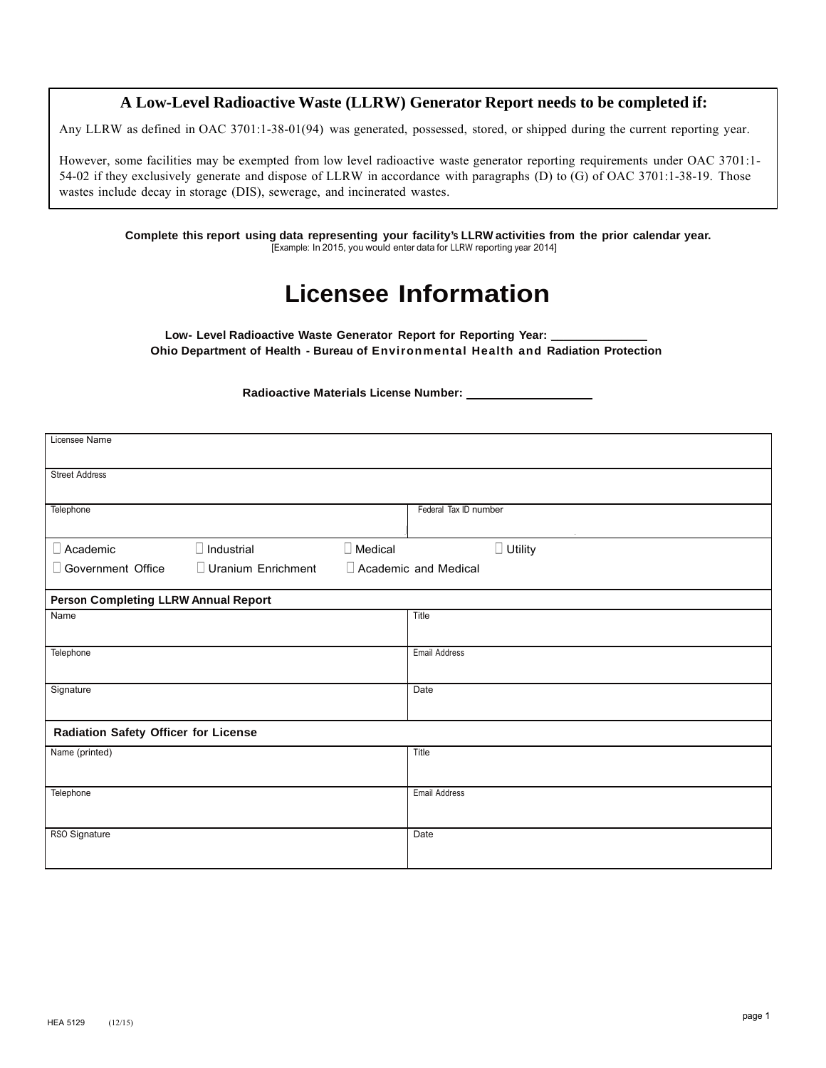#### **A Low-Level Radioactive Waste (LLRW) Generator Report needs to be completed if:**

Any LLRW as defined in OAC 3701:1-38-01(94) was generated, possessed, stored, or shipped during the current reporting year.

However, some facilities may be exempted from low level radioactive waste generator reporting requirements under OAC 3701:1- 54-02 if they exclusively generate and dispose of LLRW in accordance with paragraphs (D) to (G) of OAC 3701:1-38-19. Those wastes include decay in storage (DIS), sewerage, and incinerated wastes.

**Complete this report using data representing your facility's LLRW activities from the prior calendar year.** [Example: In 2015, you would enter data for LLRW reporting year 2014]

# **Licensee Information**

Low- Level Radioactive Waste Generator Report for Reporting Year: **Ohio Department of Health - Bureau of Environmental Health and Radiation Protection**

#### **Radioactive Materials License Number:**

| Licensee Name                               |                    |                |                       |                |
|---------------------------------------------|--------------------|----------------|-----------------------|----------------|
| <b>Street Address</b>                       |                    |                |                       |                |
| Telephone                                   |                    |                | Federal Tax ID number | $\sim$         |
| $\Box$ Academic                             | $\Box$ Industrial  | $\Box$ Medical |                       | $\Box$ Utility |
| Government Office                           | Uranium Enrichment |                | Academic and Medical  |                |
| <b>Person Completing LLRW Annual Report</b> |                    |                |                       |                |
| Name                                        |                    |                | Title                 |                |
| Telephone                                   |                    |                | <b>Email Address</b>  |                |
| Signature                                   |                    |                | Date                  |                |
| Radiation Safety Officer for License        |                    |                |                       |                |
| Name (printed)                              |                    |                | Title                 |                |
| Telephone                                   |                    |                | <b>Email Address</b>  |                |
| RSO Signature                               |                    |                | Date                  |                |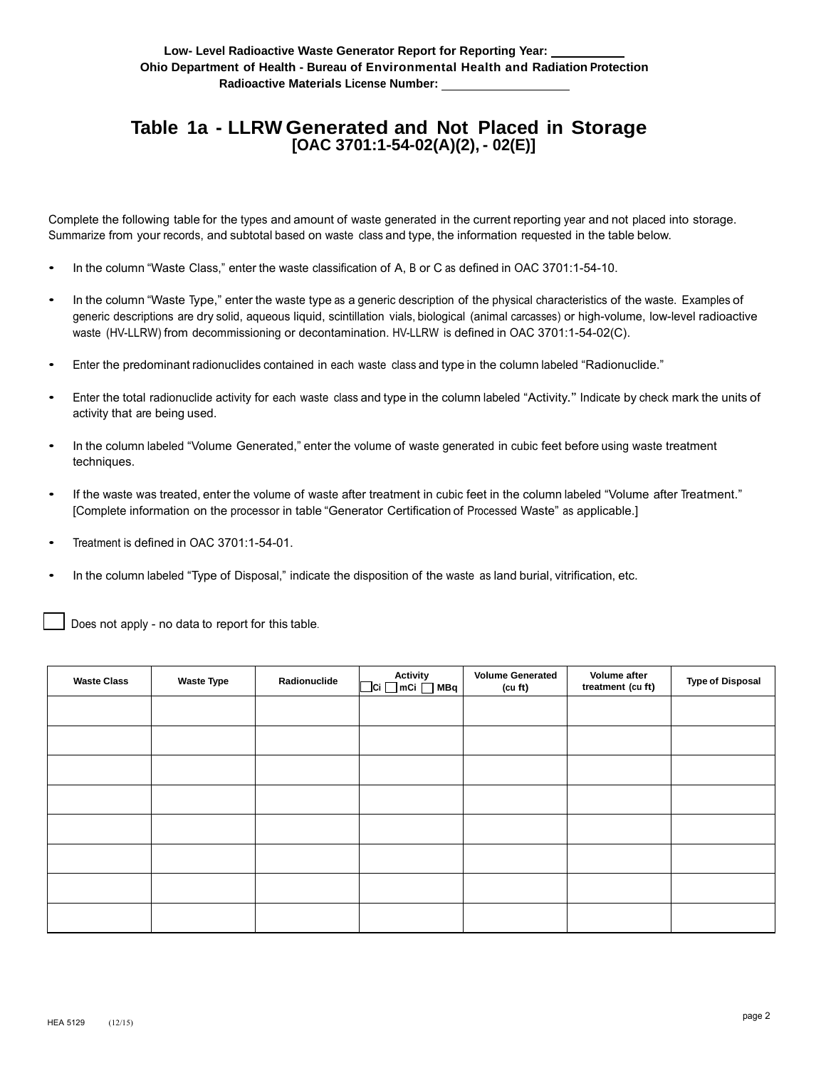## **Table 1a - LLRW Generated and Not Placed in Storage [OAC 3701:1-54-02(A)(2), - 02(E)]**

Complete the following table for the types and amount of waste generated in the current reporting year and not placed into storage. Summarize from your records, and subtotal based on waste class and type, the information requested in the table below.

- In the column "Waste Class," enter the waste classification of A, B or C as defined in OAC 3701:1-54-10.
- In the column "Waste Type," enter the waste type as a generic description of the physical characteristics of the waste. Examples of generic descriptions are dry solid, aqueous liquid, scintillation vials, biological (animal carcasses) or high-volume, low-level radioactive waste (HV-LLRW) from decommissioning or decontamination. HV-LLRW is defined in OAC 3701:1-54-02(C).
- Enter the predominant radionuclides contained in each waste class and type in the column labeled "Radionuclide."
- Enter the total radionuclide activity for each waste class and type in the column labeled "Activity." Indicate by check mark the units of activity that are being used.
- In the column labeled "Volume Generated," enter the volume of waste generated in cubic feet before using waste treatment techniques.
- If the waste was treated, enter the volume of waste after treatment in cubic feet in the column labeled "Volume after Treatment." [Complete information on the processor in table "Generator Certification of Processed Waste" as applicable.]
- Treatment is defined in OAC 3701:1-54-01.
- In the column labeled "Type of Disposal," indicate the disposition of the waste as land burial, vitrification, etc.  $\overline{a}$

| <b>Waste Class</b> | <b>Waste Type</b> | Radionuclide | <b>Activity</b> | <b>Volume Generated</b><br>(cu ft) | Volume after<br>treatment (cu ft) | <b>Type of Disposal</b> |
|--------------------|-------------------|--------------|-----------------|------------------------------------|-----------------------------------|-------------------------|
|                    |                   |              |                 |                                    |                                   |                         |
|                    |                   |              |                 |                                    |                                   |                         |
|                    |                   |              |                 |                                    |                                   |                         |
|                    |                   |              |                 |                                    |                                   |                         |
|                    |                   |              |                 |                                    |                                   |                         |
|                    |                   |              |                 |                                    |                                   |                         |
|                    |                   |              |                 |                                    |                                   |                         |
|                    |                   |              |                 |                                    |                                   |                         |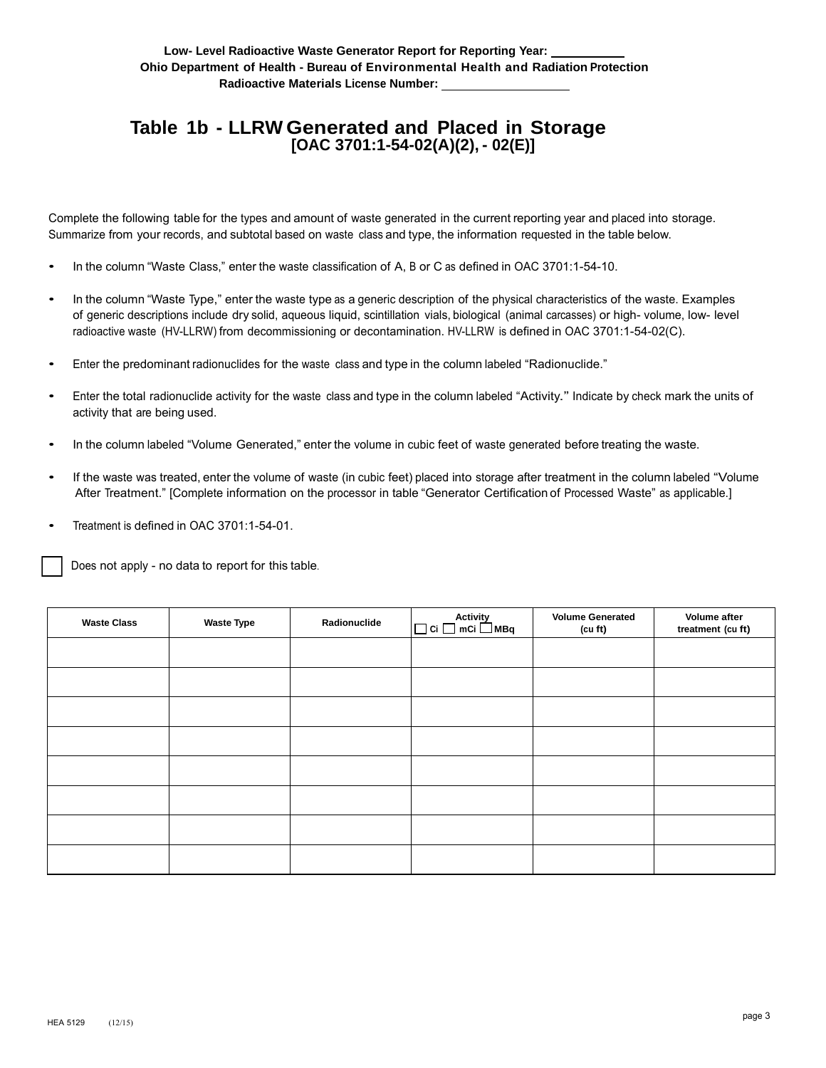## **Table 1b - LLRW Generated and Placed in Storage [OAC 3701:1-54-02(A)(2), - 02(E)]**

Complete the following table for the types and amount of waste generated in the current reporting year and placed into storage. Summarize from your records, and subtotal based on waste class and type, the information requested in the table below.

- In the column "Waste Class," enter the waste classification of A, B or C as defined in OAC 3701:1-54-10.
- In the column "Waste Type," enter the waste type as a generic description of the physical characteristics of the waste. Examples of generic descriptions include dry solid, aqueous liquid, scintillation vials, biological (animal carcasses) or high- volume, low- level radioactive waste (HV-LLRW) from decommissioning or decontamination. HV-LLRW is defined in OAC 3701:1-54-02(C).
- Enter the predominant radionuclides for the waste class and type in the column labeled "Radionuclide."
- Enter the total radionuclide activity for the waste class and type in the column labeled "Activity." Indicate by check mark the units of activity that are being used.
- In the column labeled "Volume Generated," enter the volume in cubic feet of waste generated before treating the waste.
- If the waste was treated, enter the volume of waste (in cubic feet) placed into storage after treatment in the column labeled "Volume After Treatment." [Complete information on the processor in table "Generator Certification of Processed Waste" as applicable.]
- Treatment is defined in OAC 3701:1-54-01.

| <b>Waste Class</b> | <b>Waste Type</b> | Radionuclide | Activity<br>$\Box$ Ci $\Box$ mCi $\Box$ MBq | <b>Volume Generated</b><br>(cu ft) | Volume after<br>treatment (cu ft) |
|--------------------|-------------------|--------------|---------------------------------------------|------------------------------------|-----------------------------------|
|                    |                   |              |                                             |                                    |                                   |
|                    |                   |              |                                             |                                    |                                   |
|                    |                   |              |                                             |                                    |                                   |
|                    |                   |              |                                             |                                    |                                   |
|                    |                   |              |                                             |                                    |                                   |
|                    |                   |              |                                             |                                    |                                   |
|                    |                   |              |                                             |                                    |                                   |
|                    |                   |              |                                             |                                    |                                   |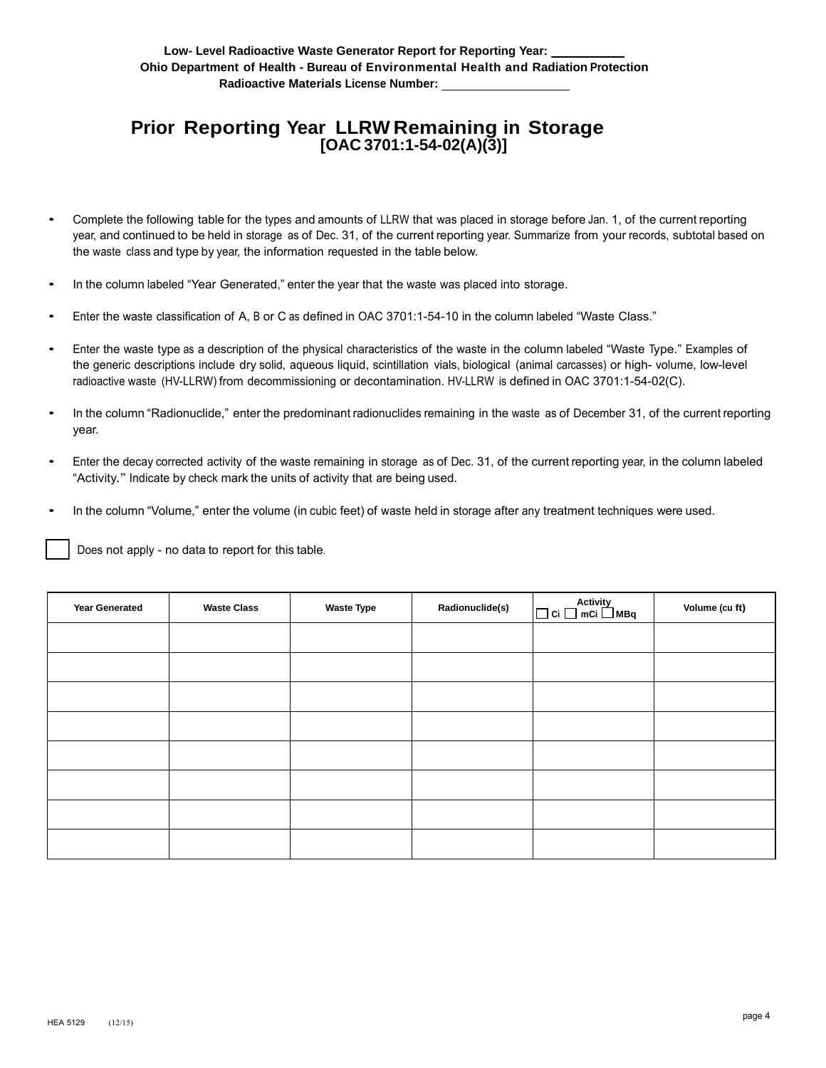## **Prior Reporting Year LLRW Remaining in Storage [OAC 3701:1-54-02(A)(3)]**

- Complete the following table for the types and amounts of LLRW that was placed in storage before Jan. 1, of the current reporting year, and continued to be held in storage as of Dec. 31, of the current reporting year. Summarize from your records, subtotal based on the waste class and type by year, the information requested in the table below.
- In the column labeled "Year Generated," enter the year that the waste was placed into storage.
- Enter the waste classification of A, B or C as defined in OAC 3701:1-54-10 in the column labeled "Waste Class."
- Enter the waste type as a description of the physical characteristics of the waste in the column labeled "Waste Type." Examples of the generic descriptions include dry solid, aqueous liquid, scintillation vials, biological (animal carcasses) or high- volume, low-level radioactive waste (HV-LLRW) from decommissioning or decontamination. HV-LLRW is defined in OAC 3701:1-54-02(C).
- In the column "Radionuclide," enter the predominant radionuclides remaining in the waste as of December 31, of the current reporting year.
- Enter the decay corrected activity of the waste remaining in storage as of Dec. 31, of the current reporting year, in the column labeled "Activity." Indicate by check mark the units of activity that are being used.
- In the column "Volume," enter the volume (in cubic feet) of waste held in storage after any treatment techniques were used.

| <b>Year Generated</b> | <b>Waste Class</b> | <b>Waste Type</b> | Radionuclide(s) | Activity<br>□ Ci □ mCi □ MBq | Volume (cu ft) |
|-----------------------|--------------------|-------------------|-----------------|------------------------------|----------------|
|                       |                    |                   |                 |                              |                |
|                       |                    |                   |                 |                              |                |
|                       |                    |                   |                 |                              |                |
|                       |                    |                   |                 |                              |                |
|                       |                    |                   |                 |                              |                |
|                       |                    |                   |                 |                              |                |
|                       |                    |                   |                 |                              |                |
|                       |                    |                   |                 |                              |                |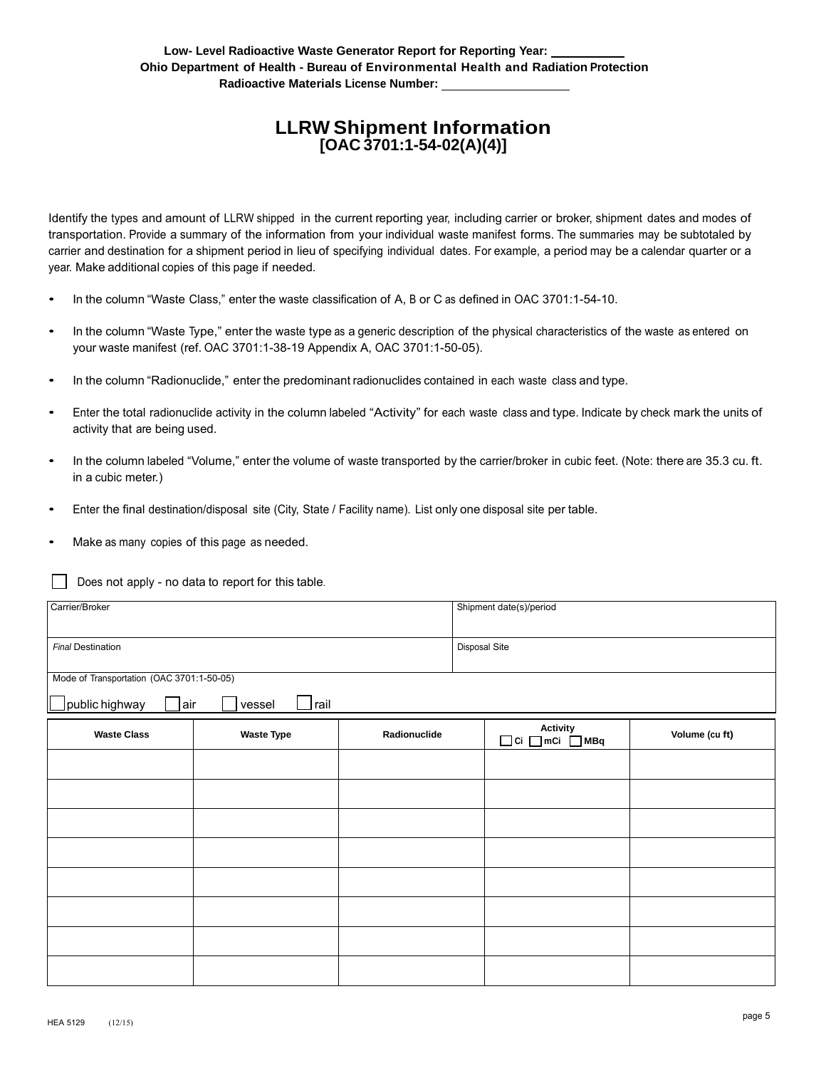#### **LLRW Shipment Information [OAC 3701:1-54-02(A)(4)]**

Identify the types and amount of LLRW shipped in the current reporting year, including carrier or broker, shipment dates and modes of transportation. Provide a summary of the information from your individual waste manifest forms. The summaries may be subtotaled by carrier and destination for a shipment period in lieu of specifying individual dates. For example, a period may be a calendar quarter or a year. Make additional copies of this page if needed.

- In the column "Waste Class," enter the waste classification of A, B or C as defined in OAC 3701:1-54-10.
- In the column "Waste Type," enter the waste type as a generic description of the physical characteristics of the waste as entered on your waste manifest (ref. OAC 3701:1-38-19 Appendix A, OAC 3701:1-50-05).
- In the column "Radionuclide," enter the predominant radionuclides contained in each waste class and type.
- Enter the total radionuclide activity in the column labeled "Activity" for each waste class and type. Indicate by check mark the units of activity that are being used.
- In the column labeled "Volume," enter the volume of waste transported by the carrier/broker in cubic feet. (Note: there are 35.3 cu. ft. in a cubic meter.)
- Enter the final destination/disposal site (City, State / Facility name). List only one disposal site per table.
- Make as many copies of this page as needed.

| Carrier/Broker                            |                          |               | Shipment date(s)/period      |                |  |
|-------------------------------------------|--------------------------|---------------|------------------------------|----------------|--|
| Final Destination                         |                          | Disposal Site |                              |                |  |
| Mode of Transportation (OAC 3701:1-50-05) |                          |               |                              |                |  |
| air]<br>public highway                    | $\rfloor$ rail<br>vessel |               |                              |                |  |
| <b>Waste Class</b>                        | <b>Waste Type</b>        | Radionuclide  | Activity<br>□ Ci □ mCi □ MBq | Volume (cu ft) |  |
|                                           |                          |               |                              |                |  |
|                                           |                          |               |                              |                |  |
|                                           |                          |               |                              |                |  |
|                                           |                          |               |                              |                |  |
|                                           |                          |               |                              |                |  |
|                                           |                          |               |                              |                |  |
|                                           |                          |               |                              |                |  |
|                                           |                          |               |                              |                |  |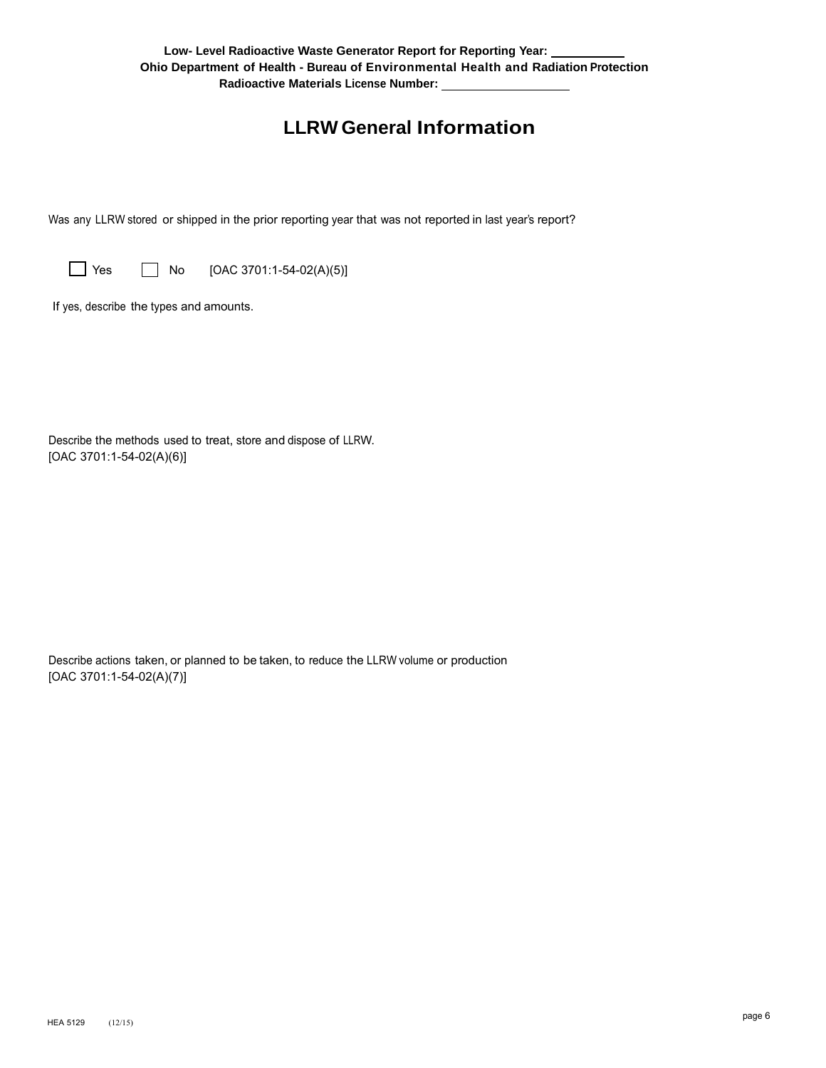## **LLRW General Information**

Was any LLRW stored or shipped in the prior reporting year that was not reported in last year's report?

 $\Box$  Yes  $\Box$  No [OAC 3701:1-54-02(A)(5)]

If yes, describe the types and amounts.

Describe the methods used to treat, store and dispose of LLRW. [OAC 3701:1-54-02(A)(6)]

Describe actions taken, or planned to be taken, to reduce the LLRW volume or production [OAC 3701:1-54-02(A)(7)]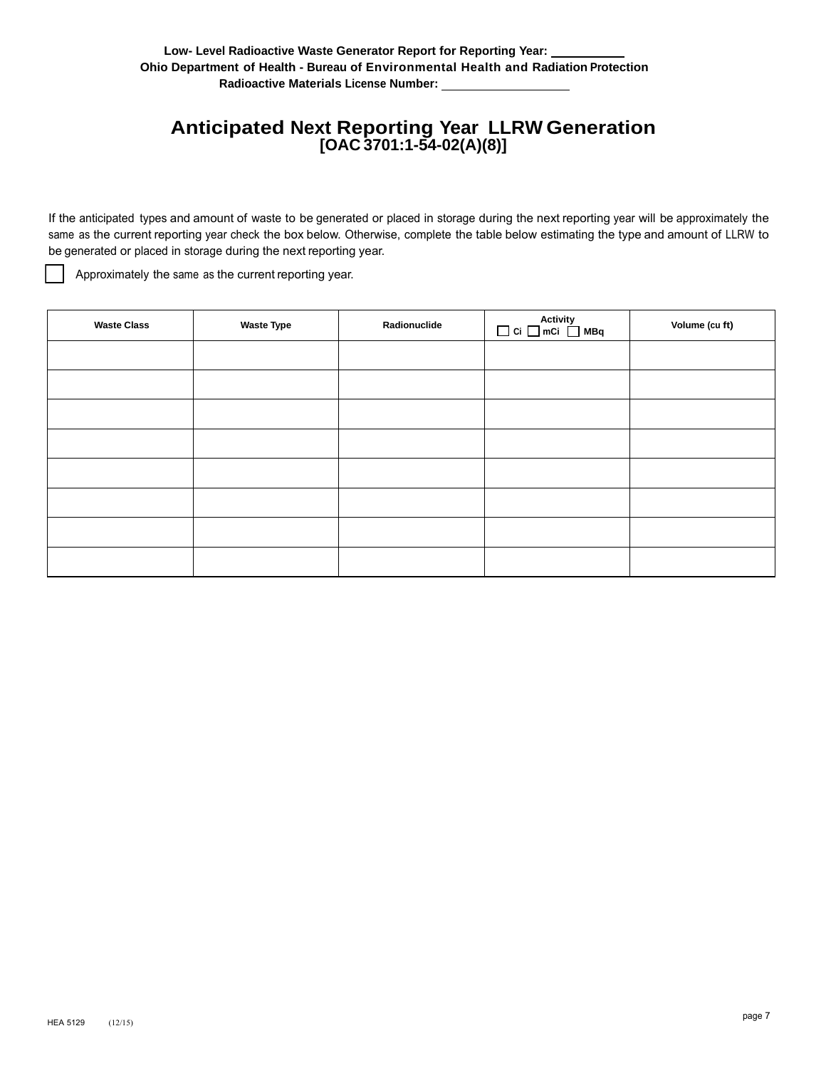## **Anticipated Next Reporting Year LLRW Generation [OAC 3701:1-54-02(A)(8)]**

If the anticipated types and amount of waste to be generated or placed in storage during the next reporting year will be approximately the same as the current reporting year check the box below. Otherwise, complete the table below estimating the type and amount of LLRW to be generated or placed in storage during the next reporting year.

Approximately the same as the current reporting year.

| <b>Waste Class</b> | <b>Waste Type</b> | Radionuclide | $\begin{array}{c}\n\text{Activity}\n\quad \Box \text{ Ci} \ \Box \text{ mCi} \ \Box \text{ MBq}\n\end{array}$ | Volume (cu ft) |
|--------------------|-------------------|--------------|---------------------------------------------------------------------------------------------------------------|----------------|
|                    |                   |              |                                                                                                               |                |
|                    |                   |              |                                                                                                               |                |
|                    |                   |              |                                                                                                               |                |
|                    |                   |              |                                                                                                               |                |
|                    |                   |              |                                                                                                               |                |
|                    |                   |              |                                                                                                               |                |
|                    |                   |              |                                                                                                               |                |
|                    |                   |              |                                                                                                               |                |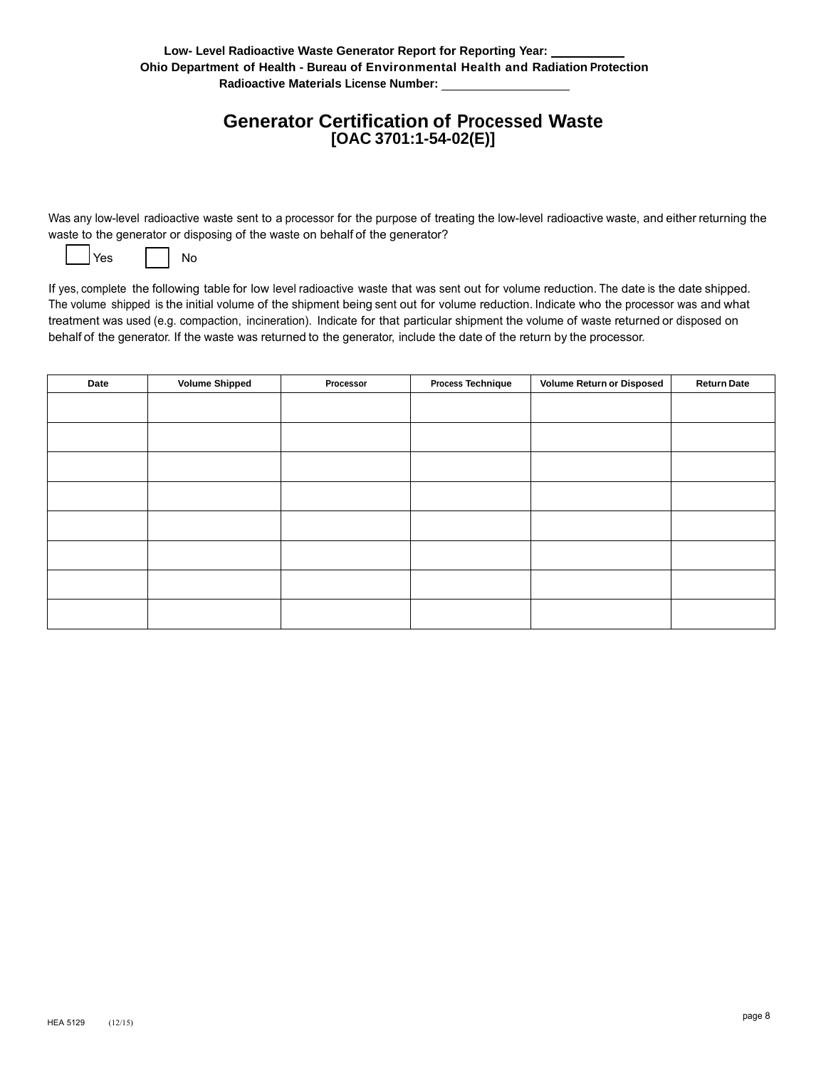### **Generator Certification of Processed Waste [OAC 3701:1-54-02(E)]**

Was any low-level radioactive waste sent to a processor for the purpose of treating the low-level radioactive waste, and either returning the waste to the generator or disposing of the waste on behalf of the generator?

| Yes |  | uп |
|-----|--|----|
|-----|--|----|

If yes, complete the following table for low level radioactive waste that was sent out for volume reduction. The date is the date shipped. The volume shipped is the initial volume of the shipment being sent out for volume reduction. Indicate who the processor was and what treatment was used (e.g. compaction, incineration). Indicate for that particular shipment the volume of waste returned or disposed on behalf of the generator. If the waste was returned to the generator, include the date of the return by the processor.

| Date | <b>Volume Shipped</b> | Processor | <b>Process Technique</b> | <b>Volume Return or Disposed</b> | <b>Return Date</b> |
|------|-----------------------|-----------|--------------------------|----------------------------------|--------------------|
|      |                       |           |                          |                                  |                    |
|      |                       |           |                          |                                  |                    |
|      |                       |           |                          |                                  |                    |
|      |                       |           |                          |                                  |                    |
|      |                       |           |                          |                                  |                    |
|      |                       |           |                          |                                  |                    |
|      |                       |           |                          |                                  |                    |
|      |                       |           |                          |                                  |                    |
|      |                       |           |                          |                                  |                    |
|      |                       |           |                          |                                  |                    |
|      |                       |           |                          |                                  |                    |
|      |                       |           |                          |                                  |                    |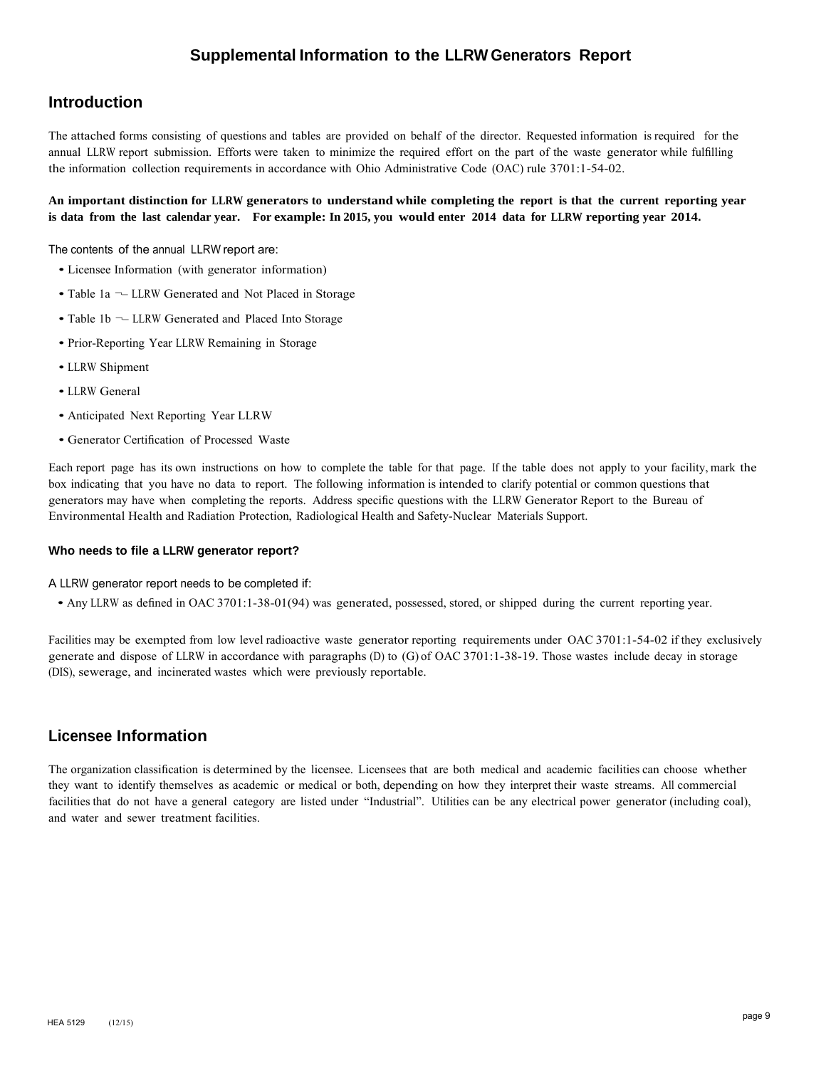#### **Supplemental Information to the LLRW Generators Report**

#### **Introduction**

The attached forms consisting of questions and tables are provided on behalf of the director. Requested information is required for the annual LLRW report submission. Efforts were taken to minimize the required effort on the part of the waste generator while fulfilling the information collection requirements in accordance with Ohio Administrative Code (OAC) rule 3701:1-54-02.

#### **An important distinction for LLRW generators to understand while completing the report is that the current reporting year is data from the last calendar year. For example: In 2015, you would enter 2014 data for LLRW reporting year 2014.**

The contents of the annual LLRW report are:

- Licensee Information (with generator information)
- Table 1a LLRW Generated and Not Placed in Storage
- Table 1b LLRW Generated and Placed Into Storage
- Prior-Reporting Year LLRW Remaining in Storage
- LLRW Shipment
- LLRW General
- Anticipated Next Reporting Year LLRW
- Generator Certification of Processed Waste

Each report page has its own instructions on how to complete the table for that page. If the table does not apply to your facility, mark the box indicating that you have no data to report. The following information is intended to clarify potential or common questions that generators may have when completing the reports. Address specific questions with the LLRW Generator Report to the Bureau of Environmental Health and Radiation Protection, Radiological Health and Safety-Nuclear Materials Support.

#### **Who needs to file a LLRW generator report?**

A LLRW generator report needs to be completed if:

• Any LLRW as defined in OAC 3701:1-38-01(94) was generated, possessed, stored, or shipped during the current reporting year.

Facilities may be exempted from low level radioactive waste generator reporting requirements under OAC 3701:1-54-02 if they exclusively generate and dispose of LLRW in accordance with paragraphs (D) to (G) of OAC 3701:1-38-19. Those wastes include decay in storage (DIS), sewerage, and incinerated wastes which were previously reportable.

#### **Licensee Information**

The organization classification is determined by the licensee. Licensees that are both medical and academic facilities can choose whether they want to identify themselves as academic or medical or both, depending on how they interpret their waste streams. All commercial facilities that do not have a general category are listed under "Industrial". Utilities can be any electrical power generator (including coal), and water and sewer treatment facilities.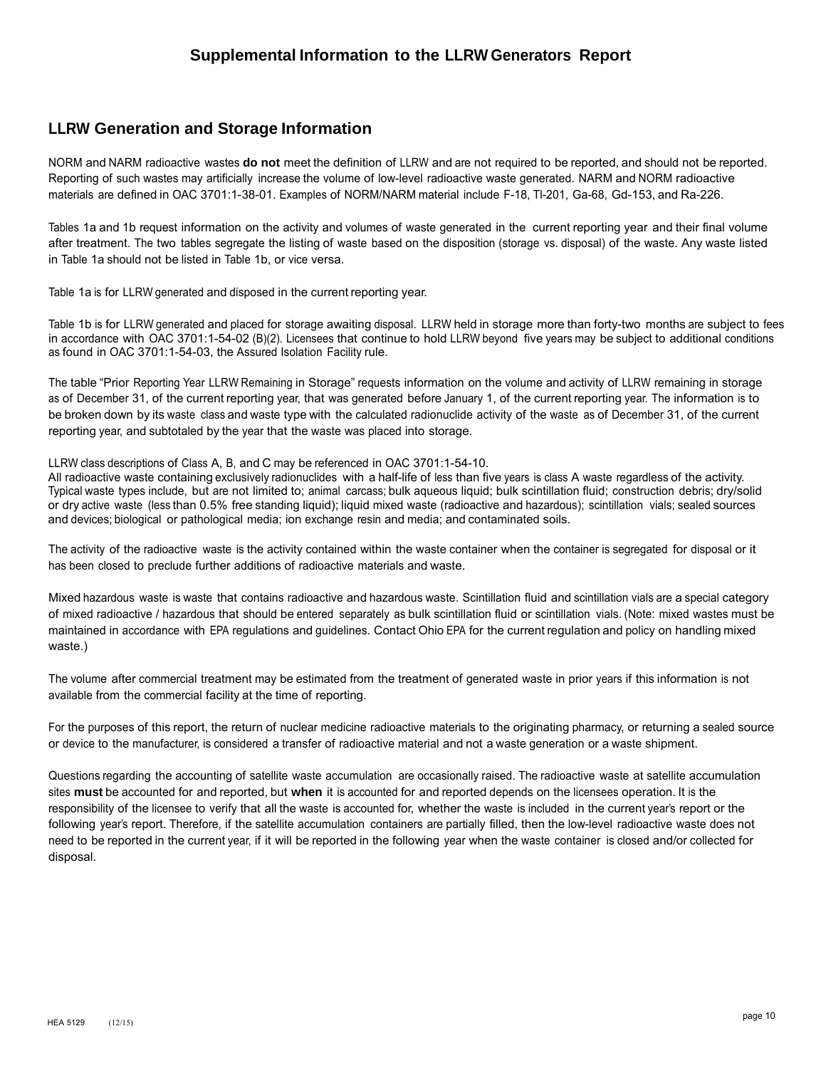#### **LLRW Generation and Storage Information**

NORM and NARM radioactive wastes **do not** meet the definition of LLRW and are not required to be reported, and should not be reported. Reporting of such wastes may artificially increase the volume of low-level radioactive waste generated. NARM and NORM radioactive materials are defined in OAC 3701:1-38-01. Examples of NORM/NARM material include F-18, Tl-201, Ga-68, Gd-153, and Ra-226.

Tables 1a and 1b request information on the activity and volumes of waste generated in the current reporting year and their final volume after treatment. The two tables segregate the listing of waste based on the disposition (storage vs. disposal) of the waste. Any waste listed in Table 1a should not be listed in Table 1b, or vice versa.

Table 1a is for LLRW generated and disposed in the current reporting year.

Table 1b is for LLRW generated and placed for storage awaiting disposal. LLRW held in storage more than forty-two months are subject to fees in accordance with OAC 3701:1-54-02 (B)(2). Licensees that continue to hold LLRW beyond five years may be subject to additional conditions as found in OAC 3701:1-54-03, the Assured Isolation Facility rule.

The table "Prior Reporting Year LLRW Remaining in Storage" requests information on the volume and activity of LLRW remaining in storage as of December 31, of the current reporting year, that was generated before January 1, of the current reporting year. The information is to be broken down by its waste class and waste type with the calculated radionuclide activity of the waste as of December 31, of the current reporting year, and subtotaled by the year that the waste was placed into storage.

LLRW class descriptions of Class A, B, and C may be referenced in OAC 3701:1-54-10.

All radioactive waste containing exclusively radionuclides with a half-life of less than five years is class A waste regardless of the activity. Typical waste types include, but are not limited to; animal carcass; bulk aqueous liquid; bulk scintillation fluid; construction debris; dry/solid or dry active waste (less than 0.5% free standing liquid); liquid mixed waste (radioactive and hazardous); scintillation vials; sealed sources and devices; biological or pathological media; ion exchange resin and media; and contaminated soils.

The activity of the radioactive waste is the activity contained within the waste container when the container is segregated for disposal or it has been closed to preclude further additions of radioactive materials and waste.

Mixed hazardous waste is waste that contains radioactive and hazardous waste. Scintillation fluid and scintillation vials are a special category of mixed radioactive / hazardous that should be entered separately as bulk scintillation fluid or scintillation vials. (Note: mixed wastes must be maintained in accordance with EPA regulations and guidelines. Contact Ohio EPA for the current regulation and policy on handling mixed waste.)

The volume after commercial treatment may be estimated from the treatment of generated waste in prior years if this information is not available from the commercial facility at the time of reporting.

For the purposes of this report, the return of nuclear medicine radioactive materials to the originating pharmacy, or returning a sealed source or device to the manufacturer, is considered a transfer of radioactive material and not a waste generation or a waste shipment.

Questions regarding the accounting of satellite waste accumulation are occasionally raised. The radioactive waste at satellite accumulation sites **must** be accounted for and reported, but **when** it is accounted for and reported depends on the licensees operation. It is the responsibility of the licensee to verify that all the waste is accounted for, whether the waste is included in the current year's report or the following year's report. Therefore, if the satellite accumulation containers are partially filled, then the low-level radioactive waste does not need to be reported in the current year, if it will be reported in the following year when the waste container is closed and/or collected for disposal.